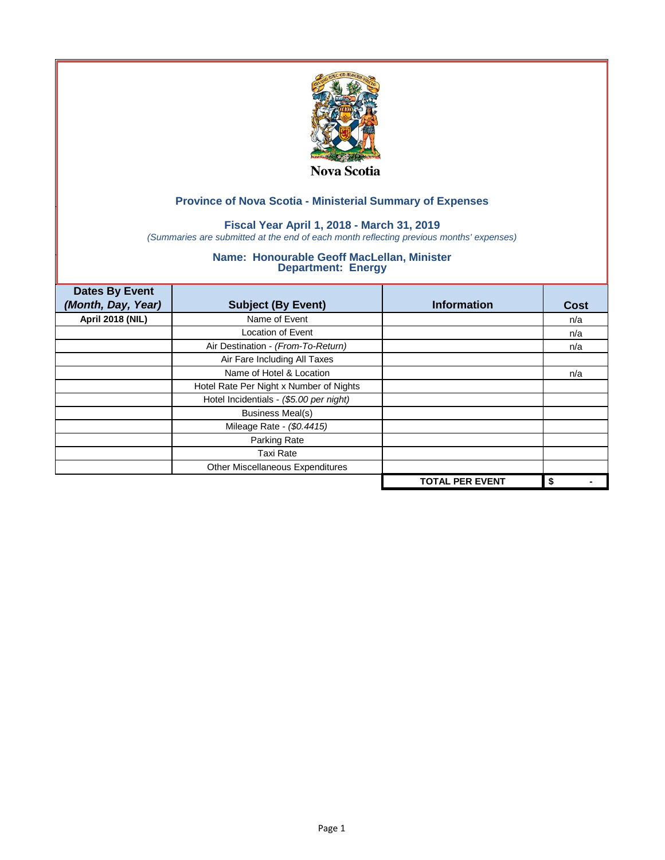

# **Fiscal Year April 1, 2018 - March 31, 2019**

*(Summaries are submitted at the end of each month reflecting previous months' expenses)*

| <b>Dates By Event</b>   |                                         |                        |             |
|-------------------------|-----------------------------------------|------------------------|-------------|
| (Month, Day, Year)      | <b>Subject (By Event)</b>               | <b>Information</b>     | <b>Cost</b> |
| <b>April 2018 (NIL)</b> | Name of Event                           |                        | n/a         |
|                         | Location of Event                       |                        | n/a         |
|                         | Air Destination - (From-To-Return)      |                        | n/a         |
|                         | Air Fare Including All Taxes            |                        |             |
|                         | Name of Hotel & Location                |                        | n/a         |
|                         | Hotel Rate Per Night x Number of Nights |                        |             |
|                         | Hotel Incidentials - (\$5.00 per night) |                        |             |
|                         | <b>Business Meal(s)</b>                 |                        |             |
|                         | Mileage Rate - (\$0.4415)               |                        |             |
|                         | Parking Rate                            |                        |             |
|                         | <b>Taxi Rate</b>                        |                        |             |
|                         | Other Miscellaneous Expenditures        |                        |             |
|                         |                                         | <b>TOTAL PER EVENT</b> | \$          |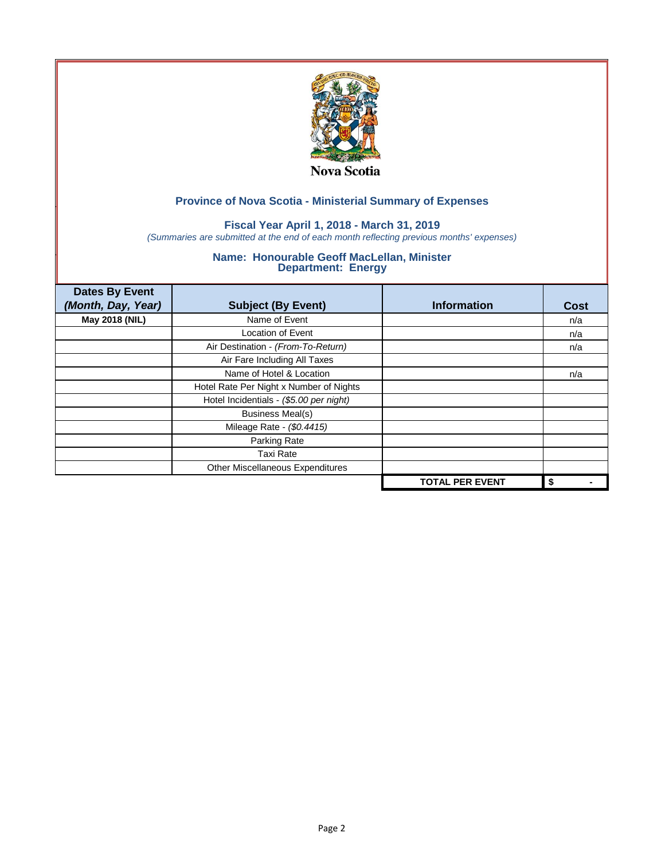

# **Fiscal Year April 1, 2018 - March 31, 2019**

*(Summaries are submitted at the end of each month reflecting previous months' expenses)*

| <b>Dates By Event</b><br>(Month, Day, Year) | <b>Subject (By Event)</b>               | <b>Information</b>     | <b>Cost</b> |
|---------------------------------------------|-----------------------------------------|------------------------|-------------|
| May 2018 (NIL)                              | Name of Event                           |                        | n/a         |
|                                             | Location of Event                       |                        | n/a         |
|                                             | Air Destination - (From-To-Return)      |                        | n/a         |
|                                             | Air Fare Including All Taxes            |                        |             |
|                                             | Name of Hotel & Location                |                        | n/a         |
|                                             | Hotel Rate Per Night x Number of Nights |                        |             |
|                                             | Hotel Incidentials - (\$5.00 per night) |                        |             |
|                                             | <b>Business Meal(s)</b>                 |                        |             |
|                                             | Mileage Rate - (\$0.4415)               |                        |             |
|                                             | Parking Rate                            |                        |             |
|                                             | <b>Taxi Rate</b>                        |                        |             |
|                                             | Other Miscellaneous Expenditures        |                        |             |
|                                             |                                         | <b>TOTAL PER EVENT</b> | \$          |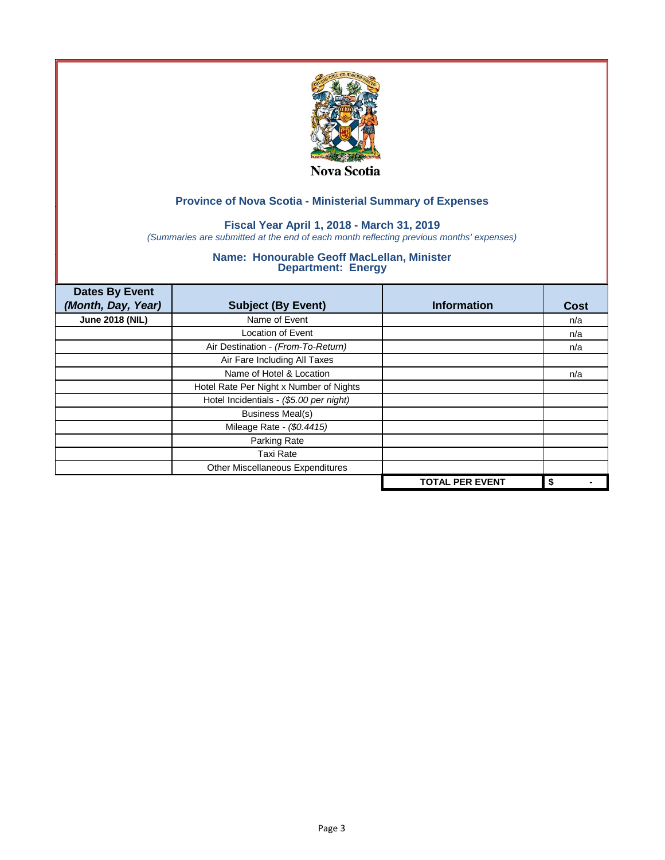

# **Fiscal Year April 1, 2018 - March 31, 2019**

*(Summaries are submitted at the end of each month reflecting previous months' expenses)*

| <b>Dates By Event</b>  |                                         |                        |      |
|------------------------|-----------------------------------------|------------------------|------|
| (Month, Day, Year)     | <b>Subject (By Event)</b>               | <b>Information</b>     | Cost |
| <b>June 2018 (NIL)</b> | Name of Event                           |                        | n/a  |
|                        | Location of Event                       |                        | n/a  |
|                        | Air Destination - (From-To-Return)      |                        | n/a  |
|                        | Air Fare Including All Taxes            |                        |      |
|                        | Name of Hotel & Location                |                        | n/a  |
|                        | Hotel Rate Per Night x Number of Nights |                        |      |
|                        | Hotel Incidentials - (\$5.00 per night) |                        |      |
|                        | <b>Business Meal(s)</b>                 |                        |      |
|                        | Mileage Rate - (\$0.4415)               |                        |      |
|                        | Parking Rate                            |                        |      |
|                        | <b>Taxi Rate</b>                        |                        |      |
|                        | Other Miscellaneous Expenditures        |                        |      |
|                        |                                         | <b>TOTAL PER EVENT</b> | \$   |